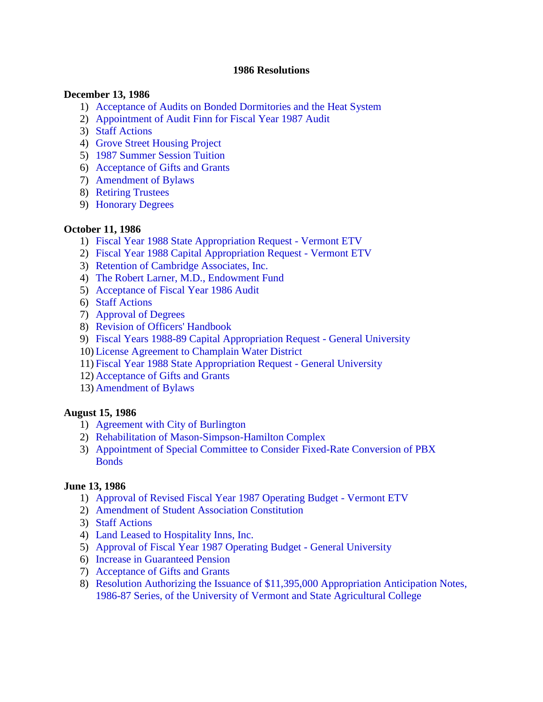#### **1986 Resolutions**

#### **December 13, 1986**

- 1) [Acceptance of Audits on Bonded Dormitories and the Heat System](#page-2-0)
- 2) [Appointment of Audit Finn for Fiscal Year 1987 Audit](#page-2-0)
- 3) [Staff Actions](#page-2-0)
- 4) [Grove Street Housing Project](#page-3-0)
- 5) [1987 Summer Session Tuition](#page-3-0)
- 6) [Acceptance of Gifts and Grants](#page-3-0)
- 7) [Amendment of Bylaws](#page-3-0)
- 8) [Retiring Trustees](#page-4-0)
- 9) [Honorary Degrees](#page-5-0)

#### **October 11, 1986**

- 1) [Fiscal Year 1988 State Appropriation Request](#page-6-0) Vermont ETV
- 2) [Fiscal Year 1988 Capital Appropriation Request](#page-6-0) Vermont ETV
- 3) [Retention of Cambridge Associates, Inc.](#page-6-0)
- 4) [The Robert Larner, M.D., Endowment Fund](#page-6-0)
- 5) Acceptance of [Fiscal Year 1986 Audit](#page-7-0)
- 6) [Staff Actions](#page-7-0)
- 7) [Approval of](#page-7-0) Degrees
- 8) [Revision of Officers' Handbook](#page-7-0)
- 9) Fiscal Years 1988-89 [Capital Appropriation Request](#page-7-0) General University
- 10) [License Agreement to Champlain Water District](#page-8-0)
- 11) [Fiscal Year 1988 State Appropriation Request -](#page-9-0) General University
- 12) [Acceptance of Gifts and Grants](#page-9-0)
- 13) [Amendment of](#page-10-0) Bylaws

#### **August 15, 1986**

- 1) [Agreement with City of Burlington](#page-11-0)
- 2) Rehabilitation of [Mason-Simpson-Hamilton Complex](#page-12-0)
- 3) [Appointment of Special Committee to Consider Fixed-Rate Conversion of PBX](#page-12-0) **Bonds**

#### **June 13, 1986**

- 1) Approval of [Revised Fiscal Year 1987 Operating Budget -](#page-13-0) Vermont ETV
- 2) [Amendment of Student Association Constitution](#page-13-0)
- 3) [Staff Actions](#page-13-0)
- 4) [Land Leased to Hospitality Inns, Inc.](#page-13-0)
- 5) Approval of [Fiscal Year 1987 Operating Budget -](#page-14-0) General University
- 6) [Increase in Guaranteed Pension](#page-14-0)
- 7) [Acceptance of Gifts and Grants](#page-14-0)
- 8) [Resolution Authorizing the Issuance of \\$11,395,000 Appropriation Anticipation Notes,](#page-14-0)  1986-87 Series, of the University of Vermont and State Agricultural College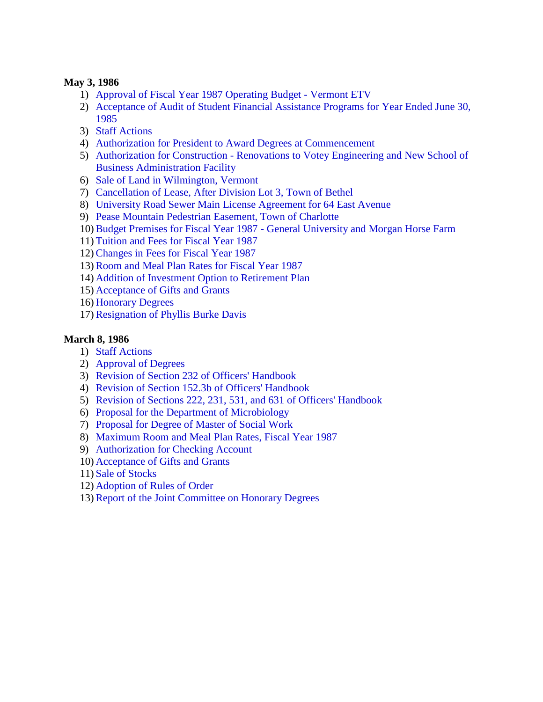### **May 3, 1986**

- 1) [Approval of Fiscal Year 1987 Operating Budget](#page-15-0) Vermont ETV
- 2) [Acceptance of Audit of Student Financial Assistance Programs for Year Ended](#page-15-0) June 30, 1985
- 3) [Staff Actions](#page-15-0)
- 4) [Authorization for President to Award Degrees at Commencement](#page-15-0)
- 5) Authorization for Construction [Renovations to Votey Engineering and New School of](#page-16-0) Business Administration Facility
- 6) [Sale of Land in Wilmington, Vermont](#page-16-0)
- 7) [Cancellation of Lease, After Division Lot 3, Town of](#page-16-0) Bethel
- 8) [University Road Sewer Main License Agreement for 64 East Avenue](#page-17-0)
- 9) [Pease Mountain Pedestrian Easement, Town of Charlotte](#page-18-0)
- 10)Budget Premises for Fiscal Year 1987 [General University and Morgan Horse](#page-18-0) Farm
- 11) [Tuition and Fees for Fiscal Year 1987](#page-18-0)
- 12)[Changes in Fees for Fiscal Year 1987](#page-19-0)
- 13)[Room and Meal Plan Rates for Fiscal Year 1987](#page-19-0)
- 14) [Addition of Investment Option to Retirement Plan](#page-19-0)
- 15) [Acceptance of Gifts and Grants](#page-19-0)
- 16) [Honorary Degrees](#page-19-0)
- 17)[Resignation of Phyllis Burke Davis](#page-19-0)

## **March 8, 1986**

- 1) [Staff Actions](#page-21-0)
- 2) [Approval of](#page-21-0) Degrees
- 3) [Revision of Section 232 of](#page-21-0) Officers' Handbook
- 4) [Revision of Section 152.3b](#page-21-0) of Officers' Handbook
- 5) Revision of Sections 222, 231, [531, and 631 of Officers' Handbook](#page-21-0)
- 6) [Proposal for the Department of Microbiology](#page-21-0)
- 7) [Proposal for Degree of Master of Social Work](#page-22-0)
- 8) [Maximum Room and Meal Plan Rates, Fiscal Year 1987](#page-22-0)
- 9) [Authorization for Checking Account](#page-22-0)
- 10) [Acceptance of Gifts and Grants](#page-22-0)
- 11) [Sale of Stocks](#page-22-0)
- 12) [Adoption of Rules of Order](#page-23-0)
- 13)[Report of the Joint Committee on Honorary Degrees](#page-23-0)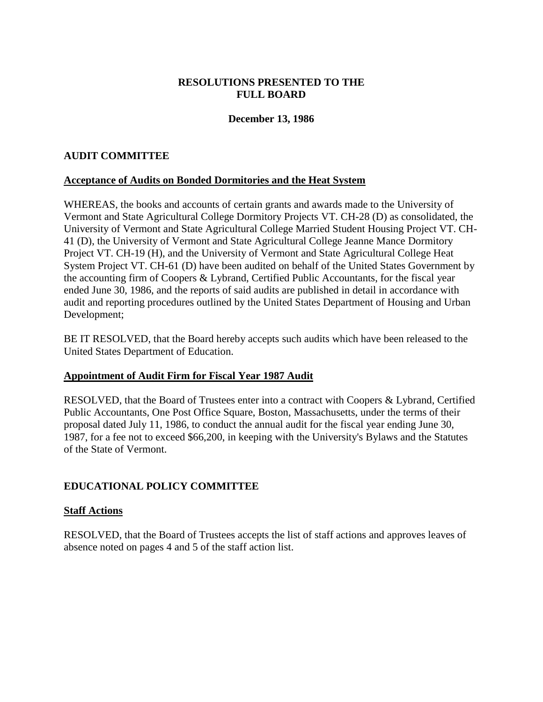## **RESOLUTIONS PRESENTED TO THE FULL BOARD**

## **December 13, 1986**

## <span id="page-2-0"></span>**AUDIT COMMITTEE**

### **Acceptance of Audits on Bonded Dormitories and the Heat System**

WHEREAS, the books and accounts of certain grants and awards made to the University of Vermont and State Agricultural College Dormitory Projects VT. CH-28 (D) as consolidated, the University of Vermont and State Agricultural College Married Student Housing Project VT. CH-41 (D), the University of Vermont and State Agricultural College Jeanne Mance Dormitory Project VT. CH-19 (H), and the University of Vermont and State Agricultural College Heat System Project VT. CH-61 (D) have been audited on behalf of the United States Government by the accounting firm of Coopers & Lybrand, Certified Public Accountants, for the fiscal year ended June 30, 1986, and the reports of said audits are published in detail in accordance with audit and reporting procedures outlined by the United States Department of Housing and Urban Development;

BE IT RESOLVED, that the Board hereby accepts such audits which have been released to the United States Department of Education.

### **Appointment of Audit Firm for Fiscal Year 1987 Audit**

RESOLVED, that the Board of Trustees enter into a contract with Coopers & Lybrand, Certified Public Accountants, One Post Office Square, Boston, Massachusetts, under the terms of their proposal dated July 11, 1986, to conduct the annual audit for the fiscal year ending June 30, 1987, for a fee not to exceed \$66,200, in keeping with the University's Bylaws and the Statutes of the State of Vermont.

### **EDUCATIONAL POLICY COMMITTEE**

### **Staff Actions**

RESOLVED, that the Board of Trustees accepts the list of staff actions and approves leaves of absence noted on pages 4 and 5 of the staff action list.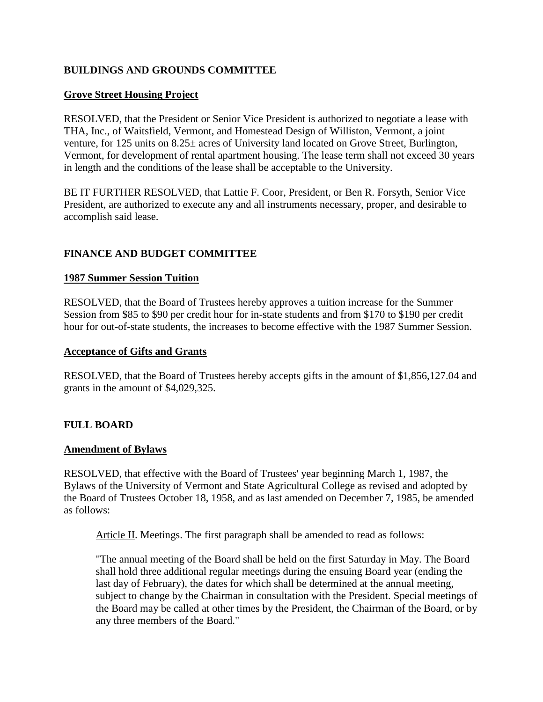# <span id="page-3-0"></span>**BUILDINGS AND GROUNDS COMMITTEE**

## **Grove Street Housing Project**

RESOLVED, that the President or Senior Vice President is authorized to negotiate a lease with THA, Inc., of Waitsfield, Vermont, and Homestead Design of Williston, Vermont, a joint venture, for 125 units on 8.25± acres of University land located on Grove Street, Burlington, Vermont, for development of rental apartment housing. The lease term shall not exceed 30 years in length and the conditions of the lease shall be acceptable to the University.

BE IT FURTHER RESOLVED, that Lattie F. Coor, President, or Ben R. Forsyth, Senior Vice President, are authorized to execute any and all instruments necessary, proper, and desirable to accomplish said lease.

## **FINANCE AND BUDGET COMMITTEE**

#### **1987 Summer Session Tuition**

RESOLVED, that the Board of Trustees hereby approves a tuition increase for the Summer Session from \$85 to \$90 per credit hour for in-state students and from \$170 to \$190 per credit hour for out-of-state students, the increases to become effective with the 1987 Summer Session.

#### **Acceptance of Gifts and Grants**

RESOLVED, that the Board of Trustees hereby accepts gifts in the amount of \$1,856,127.04 and grants in the amount of \$4,029,325.

### **FULL BOARD**

### **Amendment of Bylaws**

RESOLVED, that effective with the Board of Trustees' year beginning March 1, 1987, the Bylaws of the University of Vermont and State Agricultural College as revised and adopted by the Board of Trustees October 18, 1958, and as last amended on December 7, 1985, be amended as follows:

Article II. Meetings. The first paragraph shall be amended to read as follows:

"The annual meeting of the Board shall be held on the first Saturday in May. The Board shall hold three additional regular meetings during the ensuing Board year (ending the last day of February), the dates for which shall be determined at the annual meeting, subject to change by the Chairman in consultation with the President. Special meetings of the Board may be called at other times by the President, the Chairman of the Board, or by any three members of the Board."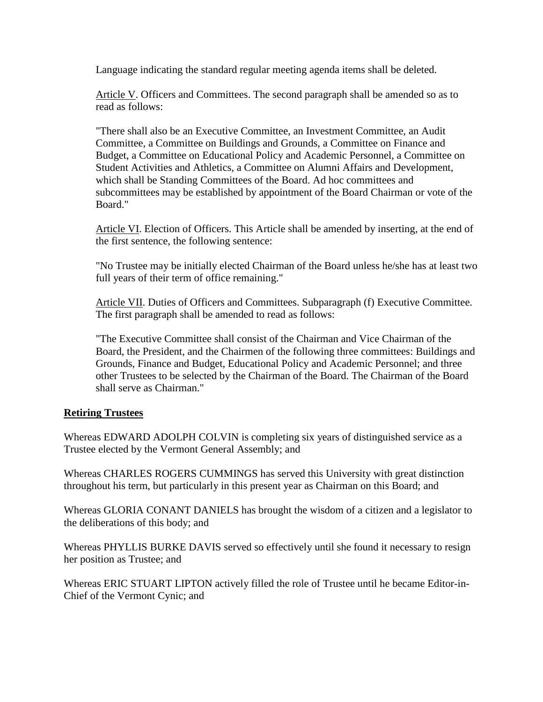<span id="page-4-0"></span>Language indicating the standard regular meeting agenda items shall be deleted.

Article V. Officers and Committees. The second paragraph shall be amended so as to read as follows:

"There shall also be an Executive Committee, an Investment Committee, an Audit Committee, a Committee on Buildings and Grounds, a Committee on Finance and Budget, a Committee on Educational Policy and Academic Personnel, a Committee on Student Activities and Athletics, a Committee on Alumni Affairs and Development, which shall be Standing Committees of the Board. Ad hoc committees and subcommittees may be established by appointment of the Board Chairman or vote of the Board."

Article VI. Election of Officers. This Article shall be amended by inserting, at the end of the first sentence, the following sentence:

"No Trustee may be initially elected Chairman of the Board unless he/she has at least two full years of their term of office remaining."

Article VII. Duties of Officers and Committees. Subparagraph (f) Executive Committee. The first paragraph shall be amended to read as follows:

"The Executive Committee shall consist of the Chairman and Vice Chairman of the Board, the President, and the Chairmen of the following three committees: Buildings and Grounds, Finance and Budget, Educational Policy and Academic Personnel; and three other Trustees to be selected by the Chairman of the Board. The Chairman of the Board shall serve as Chairman."

### **Retiring Trustees**

Whereas EDWARD ADOLPH COLVIN is completing six years of distinguished service as a Trustee elected by the Vermont General Assembly; and

Whereas CHARLES ROGERS CUMMINGS has served this University with great distinction throughout his term, but particularly in this present year as Chairman on this Board; and

Whereas GLORIA CONANT DANIELS has brought the wisdom of a citizen and a legislator to the deliberations of this body; and

Whereas PHYLLIS BURKE DAVIS served so effectively until she found it necessary to resign her position as Trustee; and

Whereas ERIC STUART LIPTON actively filled the role of Trustee until he became Editor-in-Chief of the Vermont Cynic; and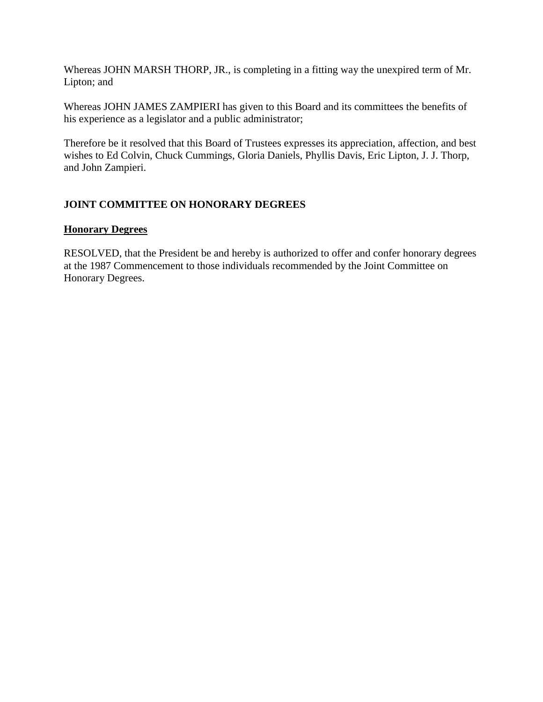<span id="page-5-0"></span>Whereas JOHN MARSH THORP, JR., is completing in a fitting way the unexpired term of Mr. Lipton; and

Whereas JOHN JAMES ZAMPIERI has given to this Board and its committees the benefits of his experience as a legislator and a public administrator;

Therefore be it resolved that this Board of Trustees expresses its appreciation, affection, and best wishes to Ed Colvin, Chuck Cummings, Gloria Daniels, Phyllis Davis, Eric Lipton, J. J. Thorp, and John Zampieri.

# **JOINT COMMITTEE ON HONORARY DEGREES**

## **Honorary Degrees**

RESOLVED, that the President be and hereby is authorized to offer and confer honorary degrees at the 1987 Commencement to those individuals recommended by the Joint Committee on Honorary Degrees.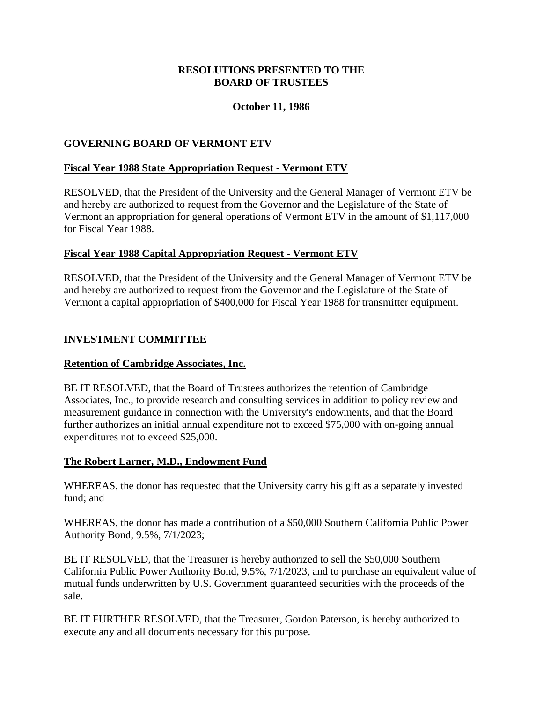## **RESOLUTIONS PRESENTED TO THE BOARD OF TRUSTEES**

## **October 11, 1986**

## <span id="page-6-0"></span>**GOVERNING BOARD OF VERMONT ETV**

### **Fiscal Year 1988 State Appropriation Request - Vermont ETV**

RESOLVED, that the President of the University and the General Manager of Vermont ETV be and hereby are authorized to request from the Governor and the Legislature of the State of Vermont an appropriation for general operations of Vermont ETV in the amount of \$1,117,000 for Fiscal Year 1988.

### **Fiscal Year 1988 Capital Appropriation Request - Vermont ETV**

RESOLVED, that the President of the University and the General Manager of Vermont ETV be and hereby are authorized to request from the Governor and the Legislature of the State of Vermont a capital appropriation of \$400,000 for Fiscal Year 1988 for transmitter equipment.

## **INVESTMENT COMMITTEE**

### **Retention of Cambridge Associates, Inc.**

BE IT RESOLVED, that the Board of Trustees authorizes the retention of Cambridge Associates, Inc., to provide research and consulting services in addition to policy review and measurement guidance in connection with the University's endowments, and that the Board further authorizes an initial annual expenditure not to exceed \$75,000 with on-going annual expenditures not to exceed \$25,000.

### **The Robert Larner, M.D., Endowment Fund**

WHEREAS, the donor has requested that the University carry his gift as a separately invested fund; and

WHEREAS, the donor has made a contribution of a \$50,000 Southern California Public Power Authority Bond, 9.5%, 7/1/2023;

BE IT RESOLVED, that the Treasurer is hereby authorized to sell the \$50,000 Southern California Public Power Authority Bond, 9.5%, 7/1/2023, and to purchase an equivalent value of mutual funds underwritten by U.S. Government guaranteed securities with the proceeds of the sale.

BE IT FURTHER RESOLVED, that the Treasurer, Gordon Paterson, is hereby authorized to execute any and all documents necessary for this purpose.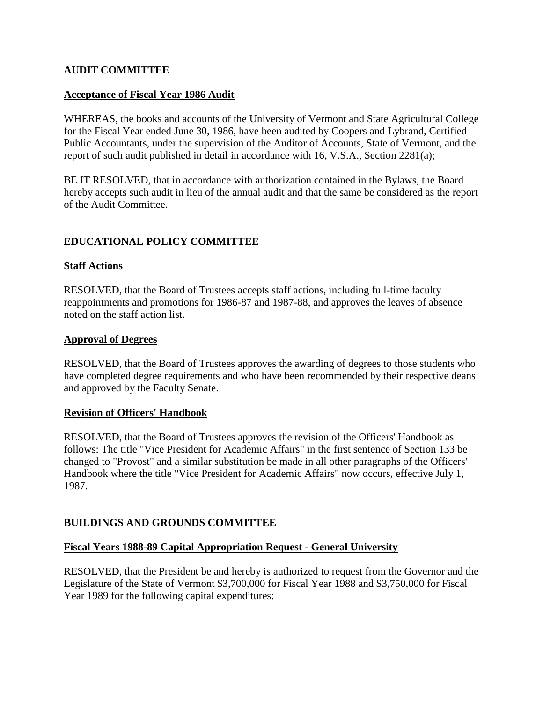## <span id="page-7-0"></span>**AUDIT COMMITTEE**

### **Acceptance of Fiscal Year 1986 Audit**

WHEREAS, the books and accounts of the University of Vermont and State Agricultural College for the Fiscal Year ended June 30, 1986, have been audited by Coopers and Lybrand, Certified Public Accountants, under the supervision of the Auditor of Accounts, State of Vermont, and the report of such audit published in detail in accordance with 16, V.S.A., Section 2281(a);

BE IT RESOLVED, that in accordance with authorization contained in the Bylaws, the Board hereby accepts such audit in lieu of the annual audit and that the same be considered as the report of the Audit Committee.

## **EDUCATIONAL POLICY COMMITTEE**

### **Staff Actions**

RESOLVED, that the Board of Trustees accepts staff actions, including full-time faculty reappointments and promotions for 1986-87 and 1987-88, and approves the leaves of absence noted on the staff action list.

### **Approval of Degrees**

RESOLVED, that the Board of Trustees approves the awarding of degrees to those students who have completed degree requirements and who have been recommended by their respective deans and approved by the Faculty Senate.

### **Revision of Officers' Handbook**

RESOLVED, that the Board of Trustees approves the revision of the Officers' Handbook as follows: The title "Vice President for Academic Affairs" in the first sentence of Section 133 be changed to "Provost" and a similar substitution be made in all other paragraphs of the Officers' Handbook where the title "Vice President for Academic Affairs" now occurs, effective July 1, 1987.

### **BUILDINGS AND GROUNDS COMMITTEE**

### **Fiscal Years 1988-89 Capital Appropriation Request - General University**

RESOLVED, that the President be and hereby is authorized to request from the Governor and the Legislature of the State of Vermont \$3,700,000 for Fiscal Year 1988 and \$3,750,000 for Fiscal Year 1989 for the following capital expenditures: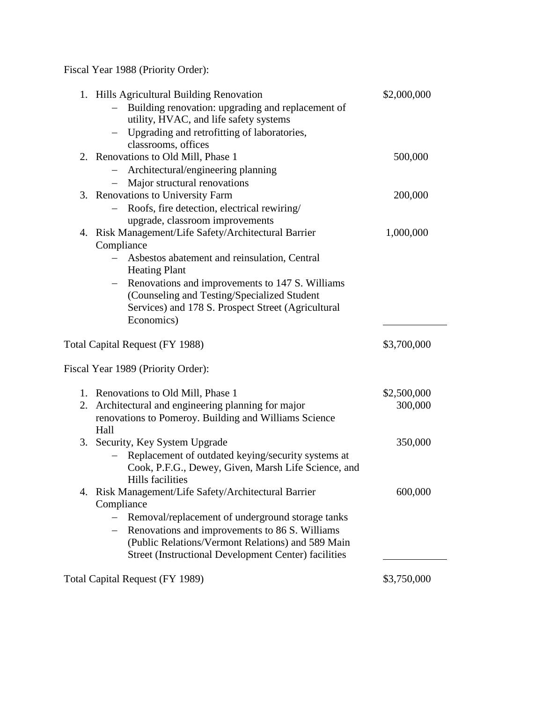<span id="page-8-0"></span>Fiscal Year 1988 (Priority Order):

|                                 | 1. Hills Agricultural Building Renovation<br>Building renovation: upgrading and replacement of | \$2,000,000 |
|---------------------------------|------------------------------------------------------------------------------------------------|-------------|
|                                 | utility, HVAC, and life safety systems                                                         |             |
|                                 | - Upgrading and retrofitting of laboratories,                                                  |             |
|                                 | classrooms, offices                                                                            |             |
|                                 | 2. Renovations to Old Mill, Phase 1                                                            | 500,000     |
|                                 | Architectural/engineering planning                                                             |             |
|                                 | - Major structural renovations                                                                 |             |
|                                 | 3. Renovations to University Farm                                                              | 200,000     |
|                                 | Roofs, fire detection, electrical rewiring/                                                    |             |
|                                 | upgrade, classroom improvements                                                                |             |
|                                 | 4. Risk Management/Life Safety/Architectural Barrier                                           | 1,000,000   |
|                                 | Compliance                                                                                     |             |
|                                 | Asbestos abatement and reinsulation, Central<br><b>Heating Plant</b>                           |             |
|                                 | Renovations and improvements to 147 S. Williams<br>$-$                                         |             |
|                                 | (Counseling and Testing/Specialized Student                                                    |             |
|                                 | Services) and 178 S. Prospect Street (Agricultural                                             |             |
|                                 | Economics)                                                                                     |             |
| Total Capital Request (FY 1988) |                                                                                                | \$3,700,000 |
|                                 | Fiscal Year 1989 (Priority Order):                                                             |             |
|                                 | 1. Renovations to Old Mill, Phase 1                                                            | \$2,500,000 |
|                                 | 2. Architectural and engineering planning for major                                            | 300,000     |
|                                 | renovations to Pomeroy. Building and Williams Science<br>Hall                                  |             |
|                                 | 3. Security, Key System Upgrade                                                                | 350,000     |
|                                 | Replacement of outdated keying/security systems at                                             |             |
|                                 | Cook, P.F.G., Dewey, Given, Marsh Life Science, and                                            |             |
|                                 | Hills facilities                                                                               |             |
|                                 | 4. Risk Management/Life Safety/Architectural Barrier                                           | 600,000     |
|                                 | Compliance                                                                                     |             |
|                                 | Removal/replacement of underground storage tanks<br>$\overline{\phantom{0}}$                   |             |
|                                 | Renovations and improvements to 86 S. Williams                                                 |             |
|                                 | (Public Relations/Vermont Relations) and 589 Main                                              |             |
|                                 | <b>Street (Instructional Development Center) facilities</b>                                    |             |
| Total Capital Request (FY 1989) |                                                                                                | \$3,750,000 |
|                                 |                                                                                                |             |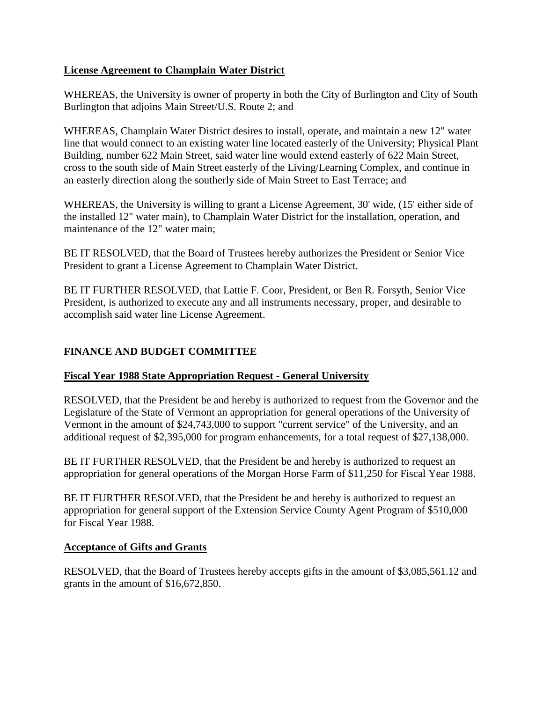## <span id="page-9-0"></span>**License Agreement to Champlain Water District**

WHEREAS, the University is owner of property in both the City of Burlington and City of South Burlington that adjoins Main Street/U.S. Route 2; and

WHEREAS, Champlain Water District desires to install, operate, and maintain a new 12" water line that would connect to an existing water line located easterly of the University; Physical Plant Building, number 622 Main Street, said water line would extend easterly of 622 Main Street, cross to the south side of Main Street easterly of the Living/Learning Complex, and continue in an easterly direction along the southerly side of Main Street to East Terrace; and

WHEREAS, the University is willing to grant a License Agreement, 30' wide, (15' either side of the installed 12" water main), to Champlain Water District for the installation, operation, and maintenance of the 12" water main;

BE IT RESOLVED, that the Board of Trustees hereby authorizes the President or Senior Vice President to grant a License Agreement to Champlain Water District.

BE IT FURTHER RESOLVED, that Lattie F. Coor, President, or Ben R. Forsyth, Senior Vice President, is authorized to execute any and all instruments necessary, proper, and desirable to accomplish said water line License Agreement.

# **FINANCE AND BUDGET COMMITTEE**

## **Fiscal Year 1988 State Appropriation Request - General University**

RESOLVED, that the President be and hereby is authorized to request from the Governor and the Legislature of the State of Vermont an appropriation for general operations of the University of Vermont in the amount of \$24,743,000 to support "current service" of the University, and an additional request of \$2,395,000 for program enhancements, for a total request of \$27,138,000.

BE IT FURTHER RESOLVED, that the President be and hereby is authorized to request an appropriation for general operations of the Morgan Horse Farm of \$11,250 for Fiscal Year 1988.

BE IT FURTHER RESOLVED, that the President be and hereby is authorized to request an appropriation for general support of the Extension Service County Agent Program of \$510,000 for Fiscal Year 1988.

## **Acceptance of Gifts and Grants**

RESOLVED, that the Board of Trustees hereby accepts gifts in the amount of \$3,085,561.12 and grants in the amount of \$16,672,850.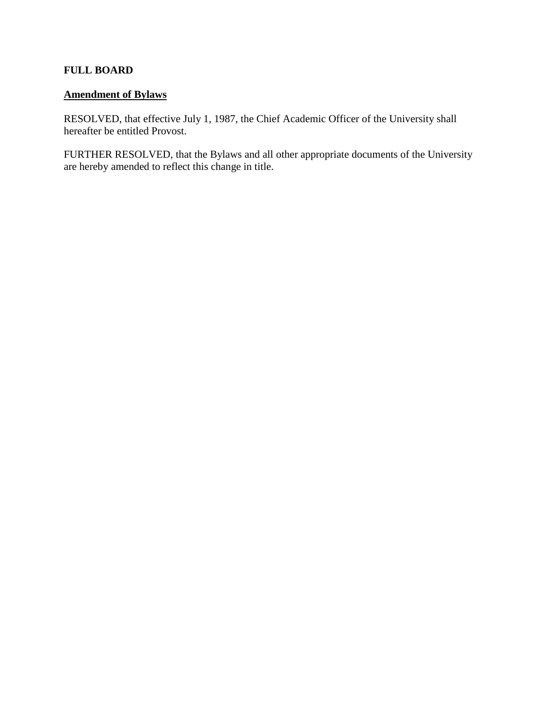## <span id="page-10-0"></span>**FULL BOARD**

# **Amendment of Bylaws**

RESOLVED, that effective July 1, 1987, the Chief Academic Officer of the University shall hereafter be entitled Provost.

FURTHER RESOLVED, that the Bylaws and all other appropriate documents of the University are hereby amended to reflect this change in title.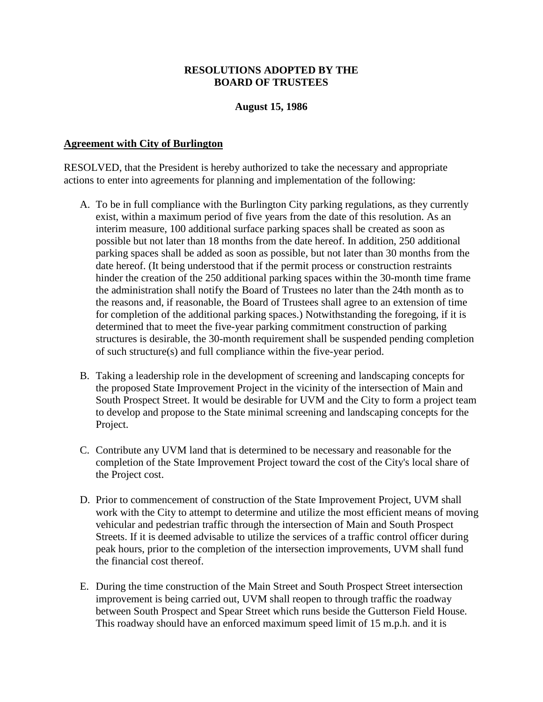### **RESOLUTIONS ADOPTED BY THE BOARD OF TRUSTEES**

### **August 15, 1986**

### <span id="page-11-0"></span>**Agreement with City of Burlington**

RESOLVED, that the President is hereby authorized to take the necessary and appropriate actions to enter into agreements for planning and implementation of the following:

- A. To be in full compliance with the Burlington City parking regulations, as they currently exist, within a maximum period of five years from the date of this resolution. As an interim measure, 100 additional surface parking spaces shall be created as soon as possible but not later than 18 months from the date hereof. In addition, 250 additional parking spaces shall be added as soon as possible, but not later than 30 months from the date hereof. (It being understood that if the permit process or construction restraints hinder the creation of the 250 additional parking spaces within the 30-month time frame the administration shall notify the Board of Trustees no later than the 24th month as to the reasons and, if reasonable, the Board of Trustees shall agree to an extension of time for completion of the additional parking spaces.) Notwithstanding the foregoing, if it is determined that to meet the five-year parking commitment construction of parking structures is desirable, the 30-month requirement shall be suspended pending completion of such structure(s) and full compliance within the five-year period.
- B. Taking a leadership role in the development of screening and landscaping concepts for the proposed State Improvement Project in the vicinity of the intersection of Main and South Prospect Street. It would be desirable for UVM and the City to form a project team to develop and propose to the State minimal screening and landscaping concepts for the Project.
- C. Contribute any UVM land that is determined to be necessary and reasonable for the completion of the State Improvement Project toward the cost of the City's local share of the Project cost.
- D. Prior to commencement of construction of the State Improvement Project, UVM shall work with the City to attempt to determine and utilize the most efficient means of moving vehicular and pedestrian traffic through the intersection of Main and South Prospect Streets. If it is deemed advisable to utilize the services of a traffic control officer during peak hours, prior to the completion of the intersection improvements, UVM shall fund the financial cost thereof.
- E. During the time construction of the Main Street and South Prospect Street intersection improvement is being carried out, UVM shall reopen to through traffic the roadway between South Prospect and Spear Street which runs beside the Gutterson Field House. This roadway should have an enforced maximum speed limit of 15 m.p.h. and it is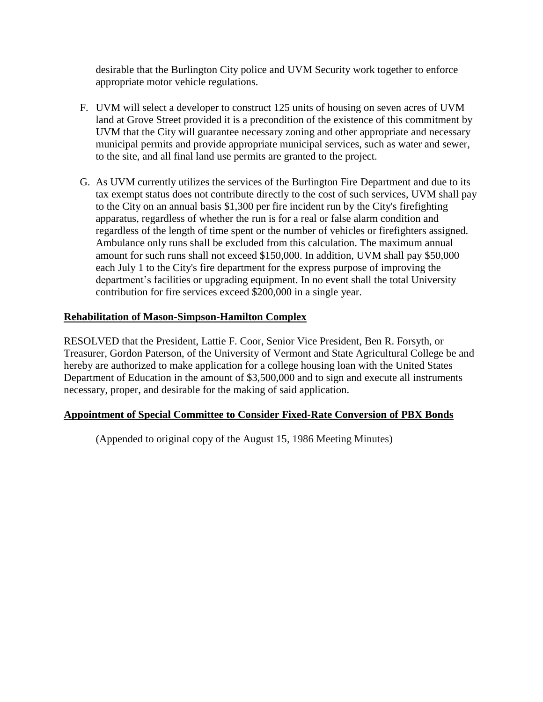<span id="page-12-0"></span>desirable that the Burlington City police and UVM Security work together to enforce appropriate motor vehicle regulations.

- F. UVM will select a developer to construct 125 units of housing on seven acres of UVM land at Grove Street provided it is a precondition of the existence of this commitment by UVM that the City will guarantee necessary zoning and other appropriate and necessary municipal permits and provide appropriate municipal services, such as water and sewer, to the site, and all final land use permits are granted to the project.
- G. As UVM currently utilizes the services of the Burlington Fire Department and due to its tax exempt status does not contribute directly to the cost of such services, UVM shall pay to the City on an annual basis \$1,300 per fire incident run by the City's firefighting apparatus, regardless of whether the run is for a real or false alarm condition and regardless of the length of time spent or the number of vehicles or firefighters assigned. Ambulance only runs shall be excluded from this calculation. The maximum annual amount for such runs shall not exceed \$150,000. In addition, UVM shall pay \$50,000 each July 1 to the City's fire department for the express purpose of improving the department's facilities or upgrading equipment. In no event shall the total University contribution for fire services exceed \$200,000 in a single year.

# **Rehabilitation of Mason-Simpson-Hamilton Complex**

RESOLVED that the President, Lattie F. Coor, Senior Vice President, Ben R. Forsyth, or Treasurer, Gordon Paterson, of the University of Vermont and State Agricultural College be and hereby are authorized to make application for a college housing loan with the United States Department of Education in the amount of \$3,500,000 and to sign and execute all instruments necessary, proper, and desirable for the making of said application.

## **Appointment of Special Committee to Consider Fixed-Rate Conversion of PBX Bonds**

(Appended to original copy of the August 15, 1986 Meeting Minutes)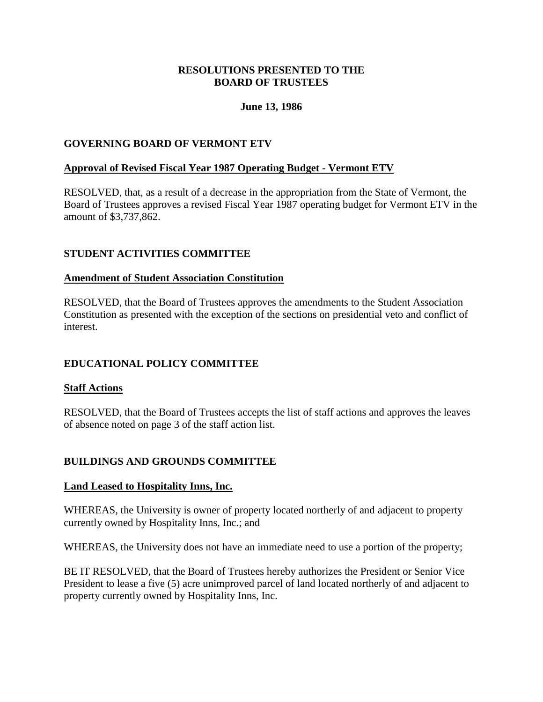## **RESOLUTIONS PRESENTED TO THE BOARD OF TRUSTEES**

## **June 13, 1986**

## <span id="page-13-0"></span>**GOVERNING BOARD OF VERMONT ETV**

## **Approval of Revised Fiscal Year 1987 Operating Budget - Vermont ETV**

RESOLVED, that, as a result of a decrease in the appropriation from the State of Vermont, the Board of Trustees approves a revised Fiscal Year 1987 operating budget for Vermont ETV in the amount of \$3,737,862.

## **STUDENT ACTIVITIES COMMITTEE**

## **Amendment of Student Association Constitution**

RESOLVED, that the Board of Trustees approves the amendments to the Student Association Constitution as presented with the exception of the sections on presidential veto and conflict of interest.

## **EDUCATIONAL POLICY COMMITTEE**

### **Staff Actions**

RESOLVED, that the Board of Trustees accepts the list of staff actions and approves the leaves of absence noted on page 3 of the staff action list.

## **BUILDINGS AND GROUNDS COMMITTEE**

### **Land Leased to Hospitality Inns, Inc.**

WHEREAS, the University is owner of property located northerly of and adjacent to property currently owned by Hospitality Inns, Inc.; and

WHEREAS, the University does not have an immediate need to use a portion of the property;

BE IT RESOLVED, that the Board of Trustees hereby authorizes the President or Senior Vice President to lease a five (5) acre unimproved parcel of land located northerly of and adjacent to property currently owned by Hospitality Inns, Inc.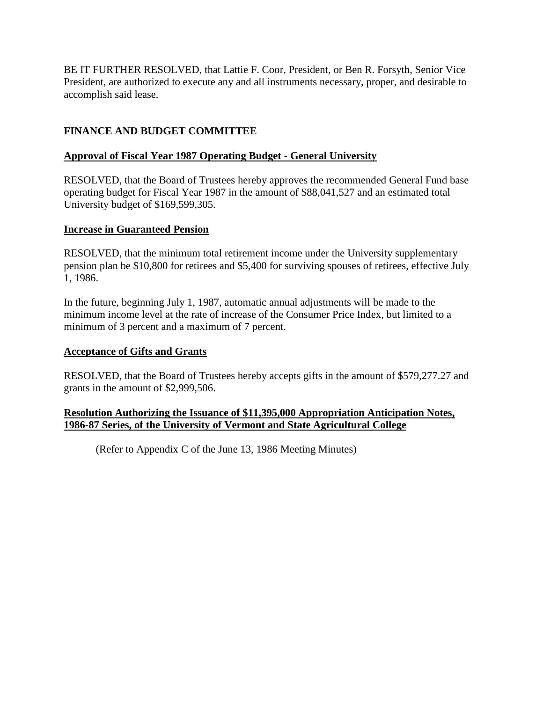<span id="page-14-0"></span>BE IT FURTHER RESOLVED, that Lattie F. Coor, President, or Ben R. Forsyth, Senior Vice President, are authorized to execute any and all instruments necessary, proper, and desirable to accomplish said lease.

# **FINANCE AND BUDGET COMMITTEE**

# **Approval of Fiscal Year 1987 Operating Budget - General University**

RESOLVED, that the Board of Trustees hereby approves the recommended General Fund base operating budget for Fiscal Year 1987 in the amount of \$88,041,527 and an estimated total University budget of \$169,599,305.

## **Increase in Guaranteed Pension**

RESOLVED, that the minimum total retirement income under the University supplementary pension plan be \$10,800 for retirees and \$5,400 for surviving spouses of retirees, effective July 1, 1986.

In the future, beginning July 1, 1987, automatic annual adjustments will be made to the minimum income level at the rate of increase of the Consumer Price Index, but limited to a minimum of 3 percent and a maximum of 7 percent.

## **Acceptance of Gifts and Grants**

RESOLVED, that the Board of Trustees hereby accepts gifts in the amount of \$579,277.27 and grants in the amount of \$2,999,506.

## **Resolution Authorizing the Issuance of \$11,395,000 Appropriation Anticipation Notes, 1986-87 Series, of the University of Vermont and State Agricultural College**

(Refer to Appendix C of the June 13, 1986 Meeting Minutes)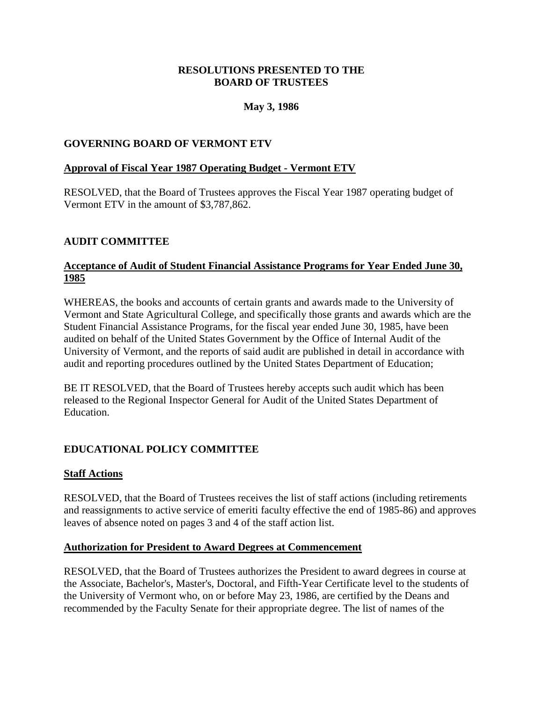## **RESOLUTIONS PRESENTED TO THE BOARD OF TRUSTEES**

## **May 3, 1986**

## <span id="page-15-0"></span>**GOVERNING BOARD OF VERMONT ETV**

### **Approval of Fiscal Year 1987 Operating Budget - Vermont ETV**

RESOLVED, that the Board of Trustees approves the Fiscal Year 1987 operating budget of Vermont ETV in the amount of \$3,787,862.

### **AUDIT COMMITTEE**

## **Acceptance of Audit of Student Financial Assistance Programs for Year Ended June 30, 1985**

WHEREAS, the books and accounts of certain grants and awards made to the University of Vermont and State Agricultural College, and specifically those grants and awards which are the Student Financial Assistance Programs, for the fiscal year ended June 30, 1985, have been audited on behalf of the United States Government by the Office of Internal Audit of the University of Vermont, and the reports of said audit are published in detail in accordance with audit and reporting procedures outlined by the United States Department of Education;

BE IT RESOLVED, that the Board of Trustees hereby accepts such audit which has been released to the Regional Inspector General for Audit of the United States Department of Education.

## **EDUCATIONAL POLICY COMMITTEE**

### **Staff Actions**

RESOLVED, that the Board of Trustees receives the list of staff actions (including retirements and reassignments to active service of emeriti faculty effective the end of 1985-86) and approves leaves of absence noted on pages 3 and 4 of the staff action list.

#### **Authorization for President to Award Degrees at Commencement**

RESOLVED, that the Board of Trustees authorizes the President to award degrees in course at the Associate, Bachelor's, Master's, Doctoral, and Fifth-Year Certificate level to the students of the University of Vermont who, on or before May 23, 1986, are certified by the Deans and recommended by the Faculty Senate for their appropriate degree. The list of names of the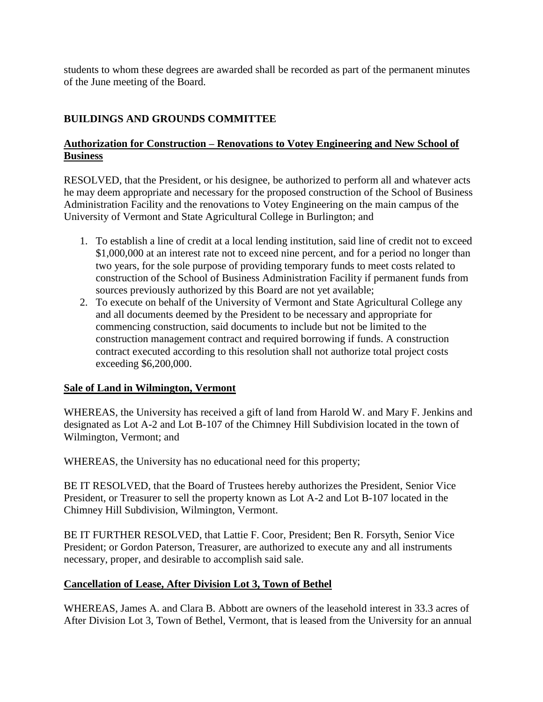<span id="page-16-0"></span>students to whom these degrees are awarded shall be recorded as part of the permanent minutes of the June meeting of the Board.

# **BUILDINGS AND GROUNDS COMMITTEE**

# **Authorization for Construction – Renovations to Votey Engineering and New School of Business**

RESOLVED, that the President, or his designee, be authorized to perform all and whatever acts he may deem appropriate and necessary for the proposed construction of the School of Business Administration Facility and the renovations to Votey Engineering on the main campus of the University of Vermont and State Agricultural College in Burlington; and

- 1. To establish a line of credit at a local lending institution, said line of credit not to exceed \$1,000,000 at an interest rate not to exceed nine percent, and for a period no longer than two years, for the sole purpose of providing temporary funds to meet costs related to construction of the School of Business Administration Facility if permanent funds from sources previously authorized by this Board are not yet available;
- 2. To execute on behalf of the University of Vermont and State Agricultural College any and all documents deemed by the President to be necessary and appropriate for commencing construction, said documents to include but not be limited to the construction management contract and required borrowing if funds. A construction contract executed according to this resolution shall not authorize total project costs exceeding \$6,200,000.

## **Sale of Land in Wilmington, Vermont**

WHEREAS, the University has received a gift of land from Harold W. and Mary F. Jenkins and designated as Lot A-2 and Lot B-107 of the Chimney Hill Subdivision located in the town of Wilmington, Vermont; and

WHEREAS, the University has no educational need for this property;

BE IT RESOLVED, that the Board of Trustees hereby authorizes the President, Senior Vice President, or Treasurer to sell the property known as Lot A-2 and Lot B-107 located in the Chimney Hill Subdivision, Wilmington, Vermont.

BE IT FURTHER RESOLVED, that Lattie F. Coor, President; Ben R. Forsyth, Senior Vice President; or Gordon Paterson, Treasurer, are authorized to execute any and all instruments necessary, proper, and desirable to accomplish said sale.

# **Cancellation of Lease, After Division Lot 3, Town of Bethel**

WHEREAS, James A. and Clara B. Abbott are owners of the leasehold interest in 33.3 acres of After Division Lot 3, Town of Bethel, Vermont, that is leased from the University for an annual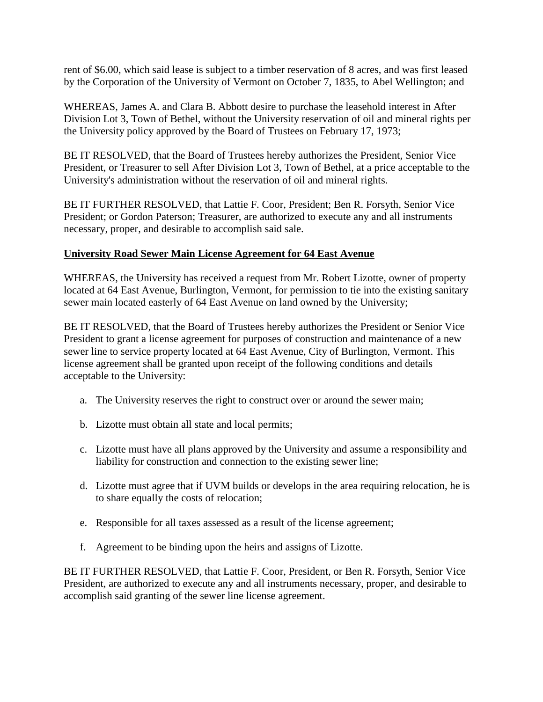<span id="page-17-0"></span>rent of \$6.00, which said lease is subject to a timber reservation of 8 acres, and was first leased by the Corporation of the University of Vermont on October 7, 1835, to Abel Wellington; and

WHEREAS, James A. and Clara B. Abbott desire to purchase the leasehold interest in After Division Lot 3, Town of Bethel, without the University reservation of oil and mineral rights per the University policy approved by the Board of Trustees on February 17, 1973;

BE IT RESOLVED, that the Board of Trustees hereby authorizes the President, Senior Vice President, or Treasurer to sell After Division Lot 3, Town of Bethel, at a price acceptable to the University's administration without the reservation of oil and mineral rights.

BE IT FURTHER RESOLVED, that Lattie F. Coor, President; Ben R. Forsyth, Senior Vice President; or Gordon Paterson; Treasurer, are authorized to execute any and all instruments necessary, proper, and desirable to accomplish said sale.

## **University Road Sewer Main License Agreement for 64 East Avenue**

WHEREAS, the University has received a request from Mr. Robert Lizotte, owner of property located at 64 East Avenue, Burlington, Vermont, for permission to tie into the existing sanitary sewer main located easterly of 64 East Avenue on land owned by the University;

BE IT RESOLVED, that the Board of Trustees hereby authorizes the President or Senior Vice President to grant a license agreement for purposes of construction and maintenance of a new sewer line to service property located at 64 East Avenue, City of Burlington, Vermont. This license agreement shall be granted upon receipt of the following conditions and details acceptable to the University:

- a. The University reserves the right to construct over or around the sewer main;
- b. Lizotte must obtain all state and local permits;
- c. Lizotte must have all plans approved by the University and assume a responsibility and liability for construction and connection to the existing sewer line;
- d. Lizotte must agree that if UVM builds or develops in the area requiring relocation, he is to share equally the costs of relocation;
- e. Responsible for all taxes assessed as a result of the license agreement;
- f. Agreement to be binding upon the heirs and assigns of Lizotte.

BE IT FURTHER RESOLVED, that Lattie F. Coor, President, or Ben R. Forsyth, Senior Vice President, are authorized to execute any and all instruments necessary, proper, and desirable to accomplish said granting of the sewer line license agreement.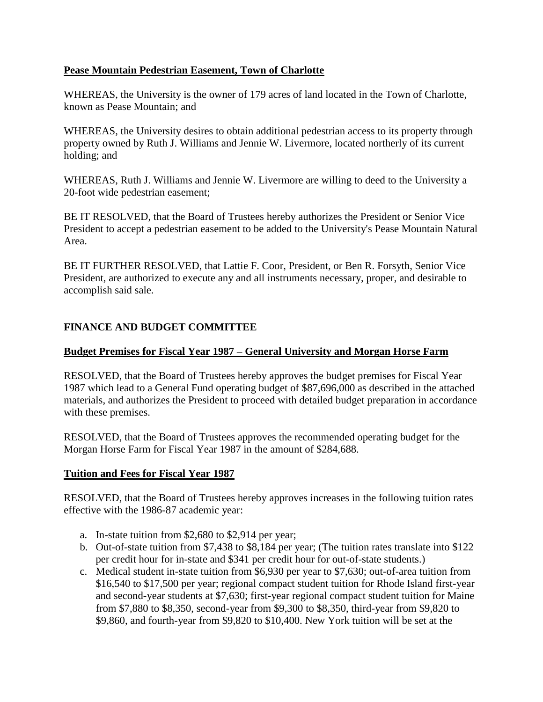## <span id="page-18-0"></span>**Pease Mountain Pedestrian Easement, Town of Charlotte**

WHEREAS, the University is the owner of 179 acres of land located in the Town of Charlotte, known as Pease Mountain; and

WHEREAS, the University desires to obtain additional pedestrian access to its property through property owned by Ruth J. Williams and Jennie W. Livermore, located northerly of its current holding; and

WHEREAS, Ruth J. Williams and Jennie W. Livermore are willing to deed to the University a 20-foot wide pedestrian easement;

BE IT RESOLVED, that the Board of Trustees hereby authorizes the President or Senior Vice President to accept a pedestrian easement to be added to the University's Pease Mountain Natural Area.

BE IT FURTHER RESOLVED, that Lattie F. Coor, President, or Ben R. Forsyth, Senior Vice President, are authorized to execute any and all instruments necessary, proper, and desirable to accomplish said sale.

# **FINANCE AND BUDGET COMMITTEE**

## **Budget Premises for Fiscal Year 1987 – General University and Morgan Horse Farm**

RESOLVED, that the Board of Trustees hereby approves the budget premises for Fiscal Year 1987 which lead to a General Fund operating budget of \$87,696,000 as described in the attached materials, and authorizes the President to proceed with detailed budget preparation in accordance with these premises.

RESOLVED, that the Board of Trustees approves the recommended operating budget for the Morgan Horse Farm for Fiscal Year 1987 in the amount of \$284,688.

## **Tuition and Fees for Fiscal Year 1987**

RESOLVED, that the Board of Trustees hereby approves increases in the following tuition rates effective with the 1986-87 academic year:

- a. In-state tuition from \$2,680 to \$2,914 per year;
- b. Out-of-state tuition from \$7,438 to \$8,184 per year; (The tuition rates translate into \$122 per credit hour for in-state and \$341 per credit hour for out-of-state students.)
- c. Medical student in-state tuition from \$6,930 per year to \$7,630; out-of-area tuition from \$16,540 to \$17,500 per year; regional compact student tuition for Rhode Island first-year and second-year students at \$7,630; first-year regional compact student tuition for Maine from \$7,880 to \$8,350, second-year from \$9,300 to \$8,350, third-year from \$9,820 to \$9,860, and fourth-year from \$9,820 to \$10,400. New York tuition will be set at the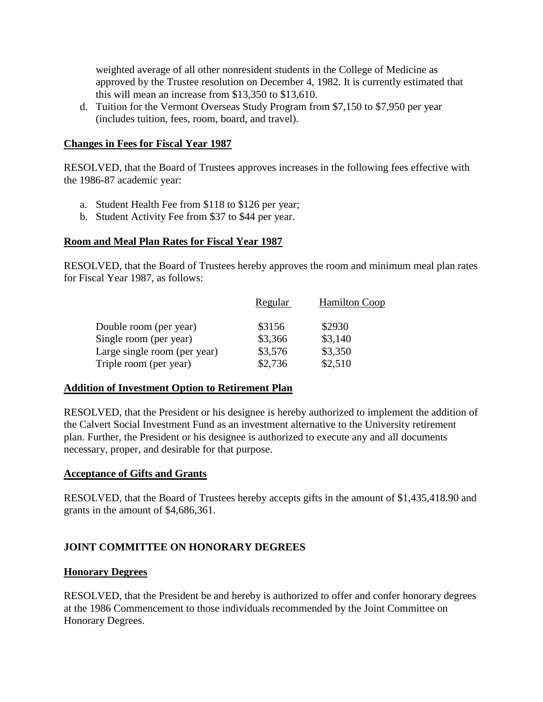<span id="page-19-0"></span>weighted average of all other nonresident students in the College of Medicine as approved by the Trustee resolution on December 4, 1982. It is currently estimated that this will mean an increase from \$13,350 to \$13,610.

d. Tuition for the Vermont Overseas Study Program from \$7,150 to \$7,950 per year (includes tuition, fees, room, board, and travel).

## **Changes in Fees for Fiscal Year 1987**

RESOLVED, that the Board of Trustees approves increases in the following fees effective with the 1986-87 academic year:

- a. Student Health Fee from \$118 to \$126 per year;
- b. Student Activity Fee from \$37 to \$44 per year.

## **Room and Meal Plan Rates for Fiscal Year 1987**

RESOLVED, that the Board of Trustees hereby approves the room and minimum meal plan rates for Fiscal Year 1987, as follows:

| Regular | <b>Hamilton Coop</b> |
|---------|----------------------|
| \$3156  | \$2930               |
| \$3,366 | \$3,140              |
| \$3,576 | \$3,350              |
| \$2,736 | \$2,510              |
|         |                      |

### **Addition of Investment Option to Retirement Plan**

RESOLVED, that the President or his designee is hereby authorized to implement the addition of the Calvert Social Investment Fund as an investment alternative to the University retirement plan. Further, the President or his designee is authorized to execute any and all documents necessary, proper, and desirable for that purpose.

### **Acceptance of Gifts and Grants**

RESOLVED, that the Board of Trustees hereby accepts gifts in the amount of \$1,435,418.90 and grants in the amount of \$4,686,361.

## **JOINT COMMITTEE ON HONORARY DEGREES**

### **Honorary Degrees**

RESOLVED, that the President be and hereby is authorized to offer and confer honorary degrees at the 1986 Commencement to those individuals recommended by the Joint Committee on Honorary Degrees.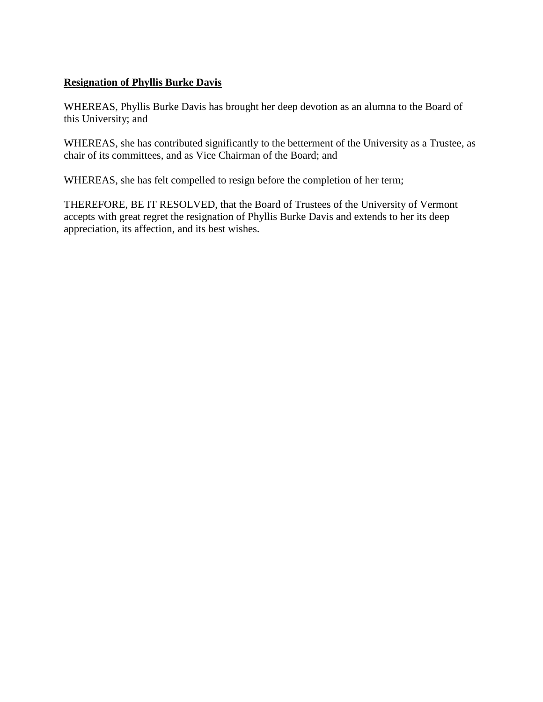## **Resignation of Phyllis Burke Davis**

WHEREAS, Phyllis Burke Davis has brought her deep devotion as an alumna to the Board of this University; and

WHEREAS, she has contributed significantly to the betterment of the University as a Trustee, as chair of its committees, and as Vice Chairman of the Board; and

WHEREAS, she has felt compelled to resign before the completion of her term;

THEREFORE, BE IT RESOLVED, that the Board of Trustees of the University of Vermont accepts with great regret the resignation of Phyllis Burke Davis and extends to her its deep appreciation, its affection, and its best wishes.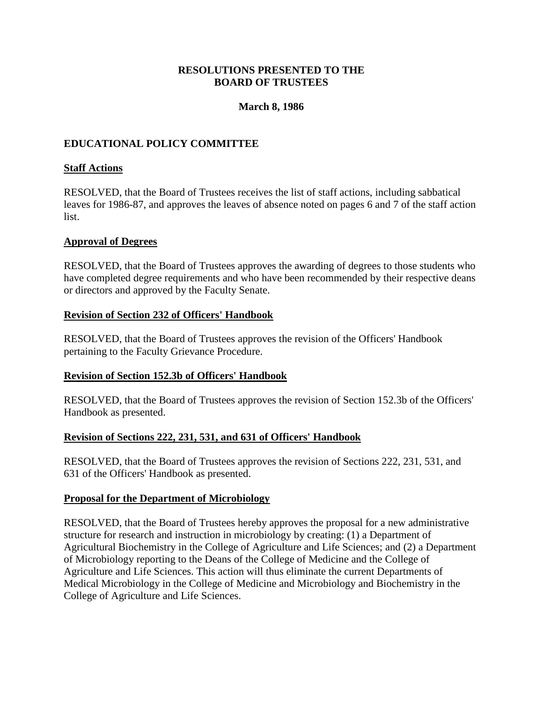## **RESOLUTIONS PRESENTED TO THE BOARD OF TRUSTEES**

## **March 8, 1986**

## <span id="page-21-0"></span>**EDUCATIONAL POLICY COMMITTEE**

## **Staff Actions**

RESOLVED, that the Board of Trustees receives the list of staff actions, including sabbatical leaves for 1986-87, and approves the leaves of absence noted on pages 6 and 7 of the staff action list.

## **Approval of Degrees**

RESOLVED, that the Board of Trustees approves the awarding of degrees to those students who have completed degree requirements and who have been recommended by their respective deans or directors and approved by the Faculty Senate.

### **Revision of Section 232 of Officers' Handbook**

RESOLVED, that the Board of Trustees approves the revision of the Officers' Handbook pertaining to the Faculty Grievance Procedure.

## **Revision of Section 152.3b of Officers' Handbook**

RESOLVED, that the Board of Trustees approves the revision of Section 152.3b of the Officers' Handbook as presented.

## **Revision of Sections 222, 231, 531, and 631 of Officers' Handbook**

RESOLVED, that the Board of Trustees approves the revision of Sections 222, 231, 531, and 631 of the Officers' Handbook as presented.

### **Proposal for the Department of Microbiology**

RESOLVED, that the Board of Trustees hereby approves the proposal for a new administrative structure for research and instruction in microbiology by creating: (1) a Department of Agricultural Biochemistry in the College of Agriculture and Life Sciences; and (2) a Department of Microbiology reporting to the Deans of the College of Medicine and the College of Agriculture and Life Sciences. This action will thus eliminate the current Departments of Medical Microbiology in the College of Medicine and Microbiology and Biochemistry in the College of Agriculture and Life Sciences.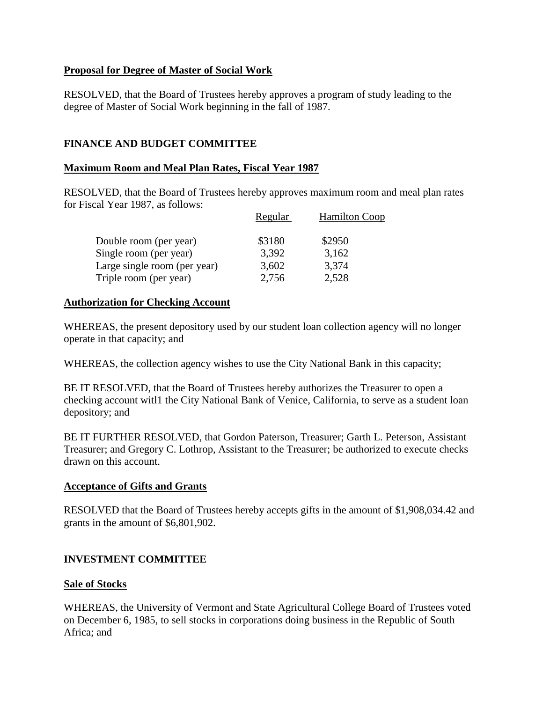## <span id="page-22-0"></span>**Proposal for Degree of Master of Social Work**

RESOLVED, that the Board of Trustees hereby approves a program of study leading to the degree of Master of Social Work beginning in the fall of 1987.

# **FINANCE AND BUDGET COMMITTEE**

## **Maximum Room and Meal Plan Rates, Fiscal Year 1987**

RESOLVED, that the Board of Trustees hereby approves maximum room and meal plan rates for Fiscal Year 1987, as follows:

|                              | Regular | <b>Hamilton Coop</b> |
|------------------------------|---------|----------------------|
| Double room (per year)       | \$3180  | \$2950               |
| Single room (per year)       | 3,392   | 3,162                |
| Large single room (per year) | 3,602   | 3,374                |
| Triple room (per year)       | 2,756   | 2,528                |

## **Authorization for Checking Account**

WHEREAS, the present depository used by our student loan collection agency will no longer operate in that capacity; and

WHEREAS, the collection agency wishes to use the City National Bank in this capacity;

BE IT RESOLVED, that the Board of Trustees hereby authorizes the Treasurer to open a checking account witl1 the City National Bank of Venice, California, to serve as a student loan depository; and

BE IT FURTHER RESOLVED, that Gordon Paterson, Treasurer; Garth L. Peterson, Assistant Treasurer; and Gregory C. Lothrop, Assistant to the Treasurer; be authorized to execute checks drawn on this account.

## **Acceptance of Gifts and Grants**

RESOLVED that the Board of Trustees hereby accepts gifts in the amount of \$1,908,034.42 and grants in the amount of \$6,801,902.

## **INVESTMENT COMMITTEE**

## **Sale of Stocks**

WHEREAS, the University of Vermont and State Agricultural College Board of Trustees voted on December 6, 1985, to sell stocks in corporations doing business in the Republic of South Africa; and